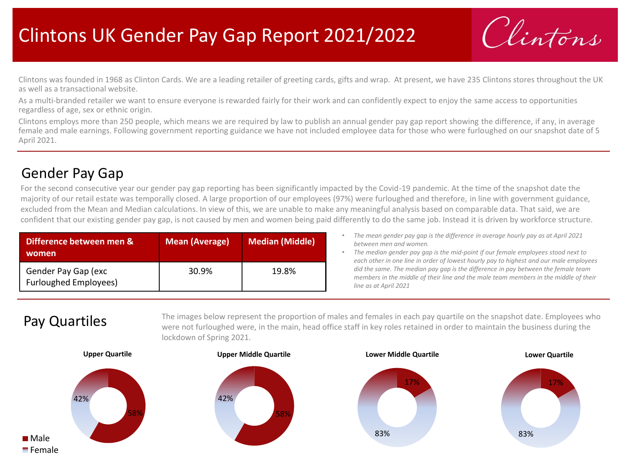## Clintons UK Gender Pay Gap Report 2021/2022

Vintons

Clintons was founded in 1968 as Clinton Cards. We are a leading retailer of greeting cards, gifts and wrap. At present, we have 235 Clintons stores throughout the UK as well as a transactional website.

As a multi-branded retailer we want to ensure everyone is rewarded fairly for their work and can confidently expect to enjoy the same access to opportunities regardless of age, sex or ethnic origin.

Clintons employs more than 250 people, which means we are required by law to publish an annual gender pay gap report showing the difference, if any, in average female and male earnings. Following government reporting guidance we have not included employee data for those who were furloughed on our snapshot date of 5 April 2021.

## Gender Pay Gap

For the second consecutive year our gender pay gap reporting has been significantly impacted by the Covid-19 pandemic. At the time of the snapshot date the majority of our retail estate was temporally closed. A large proportion of our employees (97%) were furloughed and therefore, in line with government guidance, excluded from the Mean and Median calculations. In view of this, we are unable to make any meaningful analysis based on comparable data. That said, we are confident that our existing gender pay gap, is not caused by men and women being paid differently to do the same job. Instead it is driven by workforce structure.

| Difference between men &<br>women                   | <b>Mean (Average)</b> | <b>Median (Middle)</b> |
|-----------------------------------------------------|-----------------------|------------------------|
| Gender Pay Gap (exc<br><b>Furloughed Employees)</b> | 30.9%                 | 19.8%                  |

- *The mean gender pay gap is the difference in average hourly pay as at April 2021 between men and women.*
- *The median gender pay gap is the mid-point if our female employees stood next to each other in one line in order of lowest hourly pay to highest and our male employees did the same. The median pay gap is the difference in pay between the female team members in the middle of their line and the male team members in the middle of their line as at April 2021*

## Pay Quartiles

The images below represent the proportion of males and females in each pay quartile on the snapshot date. Employees who were not furloughed were, in the main, head office staff in key roles retained in order to maintain the business during the lockdown of Spring 2021.